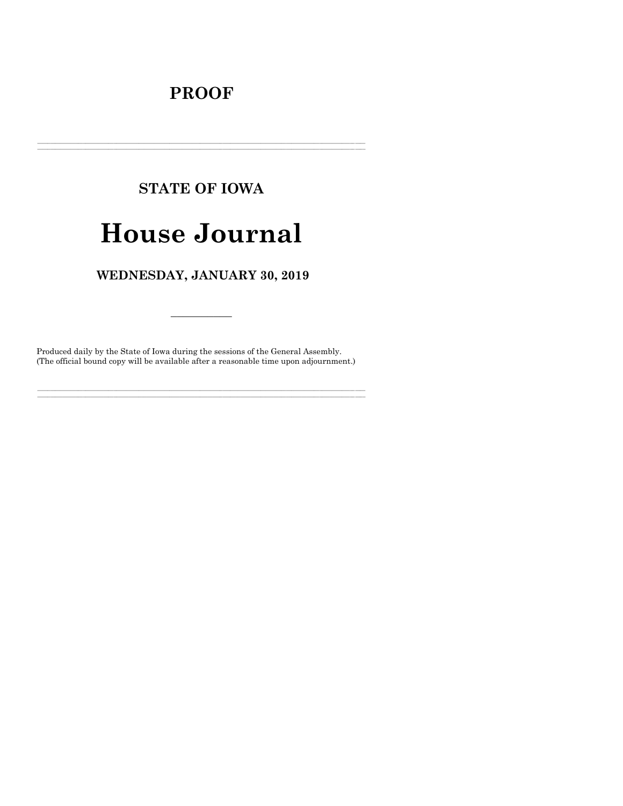# **PROOF**

# **STATE OF IOWA**

# **House Journal**

# WEDNESDAY, JANUARY 30, 2019

Produced daily by the State of Iowa during the sessions of the General Assembly. (The official bound copy will be available after a reasonable time upon adjournment.)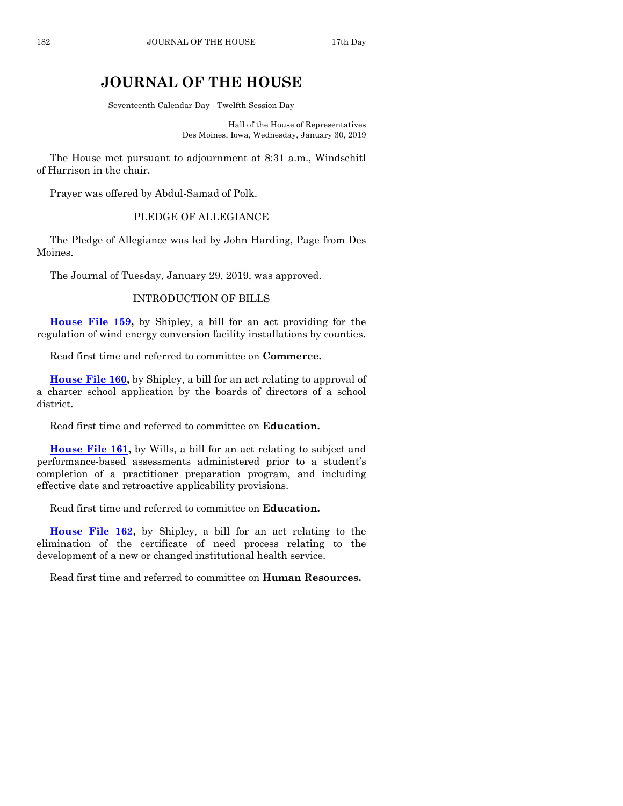# **JOURNAL OF THE HOUSE**

Seventeenth Calendar Day - Twelfth Session Day

Hall of the House of Representatives Des Moines, Iowa, Wednesday, January 30, 2019

The House met pursuant to adjournment at 8:31 a.m., Windschitl of Harrison in the chair.

Prayer was offered by Abdul-Samad of Polk.

#### PLEDGE OF ALLEGIANCE

The Pledge of Allegiance was led by John Harding, Page from Des Moines.

The Journal of Tuesday, January 29, 2019, was approved.

#### INTRODUCTION OF BILLS

**[House File 159,](https://www.legis.iowa.gov/legislation/BillBook?ga=88&ba=HF159)** by Shipley, a bill for an act providing for the regulation of wind energy conversion facility installations by counties.

Read first time and referred to committee on **Commerce.**

**[House File 160,](https://www.legis.iowa.gov/legislation/BillBook?ga=88&ba=HF160)** by Shipley, a bill for an act relating to approval of a charter school application by the boards of directors of a school district.

Read first time and referred to committee on **Education.**

**[House File 161,](https://www.legis.iowa.gov/legislation/BillBook?ga=88&ba=HF161)** by Wills, a bill for an act relating to subject and performance-based assessments administered prior to a student's completion of a practitioner preparation program, and including effective date and retroactive applicability provisions.

Read first time and referred to committee on **Education.**

**[House File 162,](https://www.legis.iowa.gov/legislation/BillBook?ga=88&ba=HF162)** by Shipley, a bill for an act relating to the elimination of the certificate of need process relating to the development of a new or changed institutional health service.

Read first time and referred to committee on **Human Resources.**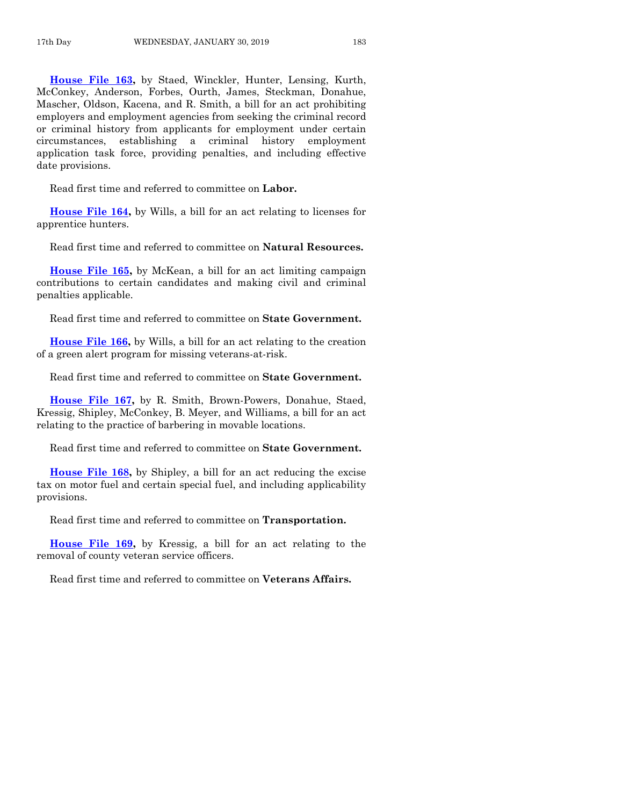**[House File 163,](https://www.legis.iowa.gov/legislation/BillBook?ga=88&ba=HF163)** by Staed, Winckler, Hunter, Lensing, Kurth, McConkey, Anderson, Forbes, Ourth, James, Steckman, Donahue, Mascher, Oldson, Kacena, and R. Smith, a bill for an act prohibiting employers and employment agencies from seeking the criminal record or criminal history from applicants for employment under certain circumstances, establishing a criminal history employment application task force, providing penalties, and including effective date provisions.

Read first time and referred to committee on **Labor.**

**[House File 164,](https://www.legis.iowa.gov/legislation/BillBook?ga=88&ba=HF164)** by Wills, a bill for an act relating to licenses for apprentice hunters.

Read first time and referred to committee on **Natural Resources.**

**[House File 165,](https://www.legis.iowa.gov/legislation/BillBook?ga=88&ba=HF165)** by McKean, a bill for an act limiting campaign contributions to certain candidates and making civil and criminal penalties applicable.

Read first time and referred to committee on **State Government.**

**[House File 166,](https://www.legis.iowa.gov/legislation/BillBook?ga=88&ba=HF166)** by Wills, a bill for an act relating to the creation of a green alert program for missing veterans-at-risk.

Read first time and referred to committee on **State Government.**

**[House File 167,](https://www.legis.iowa.gov/legislation/BillBook?ga=88&ba=HF167)** by R. Smith, Brown-Powers, Donahue, Staed, Kressig, Shipley, McConkey, B. Meyer, and Williams, a bill for an act relating to the practice of barbering in movable locations.

Read first time and referred to committee on **State Government.**

**[House File 168,](https://www.legis.iowa.gov/legislation/BillBook?ga=88&ba=HF168)** by Shipley, a bill for an act reducing the excise tax on motor fuel and certain special fuel, and including applicability provisions.

Read first time and referred to committee on **Transportation.**

**[House File 169,](https://www.legis.iowa.gov/legislation/BillBook?ga=88&ba=HF169)** by Kressig, a bill for an act relating to the removal of county veteran service officers.

Read first time and referred to committee on **Veterans Affairs.**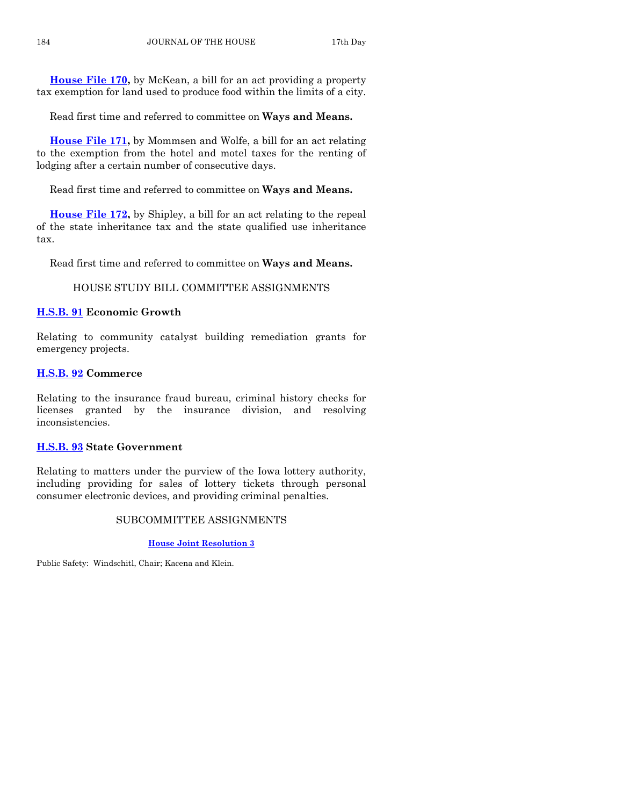**[House File 170,](https://www.legis.iowa.gov/legislation/BillBook?ga=88&ba=HF170)** by McKean, a bill for an act providing a property tax exemption for land used to produce food within the limits of a city.

Read first time and referred to committee on **Ways and Means.**

**[House File 171,](https://www.legis.iowa.gov/legislation/BillBook?ga=88&ba=HF171)** by Mommsen and Wolfe, a bill for an act relating to the exemption from the hotel and motel taxes for the renting of lodging after a certain number of consecutive days.

Read first time and referred to committee on **Ways and Means.**

**[House File 172,](https://www.legis.iowa.gov/legislation/BillBook?ga=88&ba=HF172)** by Shipley, a bill for an act relating to the repeal of the state inheritance tax and the state qualified use inheritance tax.

Read first time and referred to committee on **Ways and Means.**

# HOUSE STUDY BILL COMMITTEE ASSIGNMENTS

# **[H.S.B. 91](https://www.legis.iowa.gov/legislation/BillBook?ga=88&ba=HSB91) Economic Growth**

Relating to community catalyst building remediation grants for emergency projects.

# **[H.S.B. 92](https://www.legis.iowa.gov/legislation/BillBook?ga=88&ba=HSB92) Commerce**

Relating to the insurance fraud bureau, criminal history checks for licenses granted by the insurance division, and resolving inconsistencies.

# **[H.S.B. 93](https://www.legis.iowa.gov/legislation/BillBook?ga=88&ba=HSB93) State Government**

Relating to matters under the purview of the Iowa lottery authority, including providing for sales of lottery tickets through personal consumer electronic devices, and providing criminal penalties.

# SUBCOMMITTEE ASSIGNMENTS

## **[House Joint Resolution 3](https://www.legis.iowa.gov/legislation/BillBook?ga=88&ba=HJR3)**

Public Safety: Windschitl, Chair; Kacena and Klein.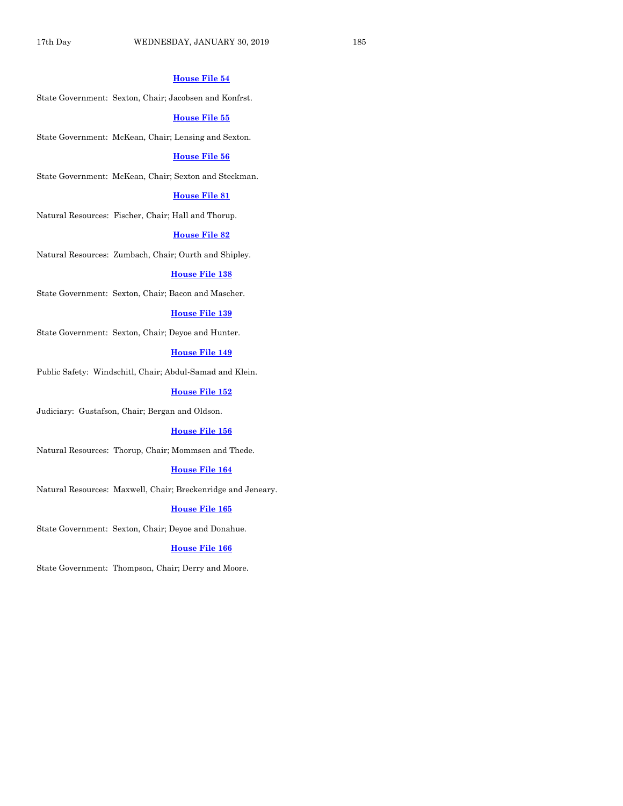#### **[House File 54](https://www.legis.iowa.gov/legislation/BillBook?ga=88&ba=HF54)**

State Government: Sexton, Chair; Jacobsen and Konfrst.

#### **[House File 55](https://www.legis.iowa.gov/legislation/BillBook?ga=88&ba=HF55)**

State Government: McKean, Chair; Lensing and Sexton.

#### **[House File 56](https://www.legis.iowa.gov/legislation/BillBook?ga=88&ba=HF56)**

State Government: McKean, Chair; Sexton and Steckman.

#### **[House File 81](https://www.legis.iowa.gov/legislation/BillBook?ga=88&ba=HF81)**

Natural Resources: Fischer, Chair; Hall and Thorup.

#### **[House File 82](https://www.legis.iowa.gov/legislation/BillBook?ga=88&ba=HF82)**

Natural Resources: Zumbach, Chair; Ourth and Shipley.

### **[House File 138](https://www.legis.iowa.gov/legislation/BillBook?ga=88&ba=HF138)**

State Government: Sexton, Chair; Bacon and Mascher.

#### **[House File 139](https://www.legis.iowa.gov/legislation/BillBook?ga=88&ba=HF139)**

State Government: Sexton, Chair; Deyoe and Hunter.

## **[House File 149](https://www.legis.iowa.gov/legislation/BillBook?ga=88&ba=HF149)**

Public Safety: Windschitl, Chair; Abdul-Samad and Klein.

#### **[House File 152](https://www.legis.iowa.gov/legislation/BillBook?ga=88&ba=HF152)**

Judiciary: Gustafson, Chair; Bergan and Oldson.

#### **[House File 156](https://www.legis.iowa.gov/legislation/BillBook?ga=88&ba=HF156)**

Natural Resources: Thorup, Chair; Mommsen and Thede.

#### **[House File 164](https://www.legis.iowa.gov/legislation/BillBook?ga=88&ba=HF164)**

Natural Resources: Maxwell, Chair; Breckenridge and Jeneary.

#### **[House File 165](https://www.legis.iowa.gov/legislation/BillBook?ga=88&ba=HF165)**

State Government: Sexton, Chair; Deyoe and Donahue.

### **[House File 166](https://www.legis.iowa.gov/legislation/BillBook?ga=88&ba=HF166)**

State Government: Thompson, Chair; Derry and Moore.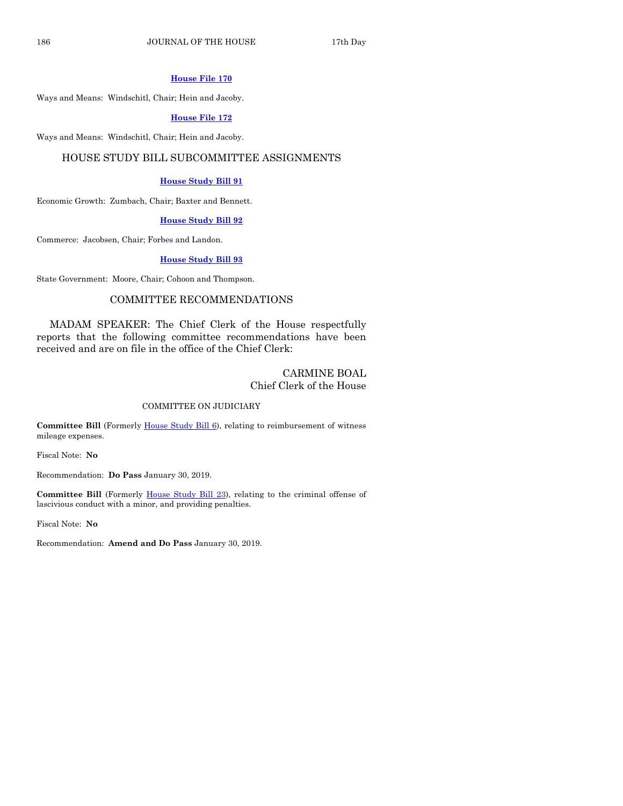#### **[House File 170](https://www.legis.iowa.gov/legislation/BillBook?ga=88&ba=HF170)**

Ways and Means: Windschitl, Chair; Hein and Jacoby.

#### **[House File 172](https://www.legis.iowa.gov/legislation/BillBook?ga=88&ba=HF172)**

Ways and Means: Windschitl, Chair; Hein and Jacoby.

#### HOUSE STUDY BILL SUBCOMMITTEE ASSIGNMENTS

#### **[House Study Bill 91](https://www.legis.iowa.gov/legislation/BillBook?ga=88&ba=HSB91)**

Economic Growth: Zumbach, Chair; Baxter and Bennett.

#### **[House Study Bill 92](https://www.legis.iowa.gov/legislation/BillBook?ga=88&ba=HSB92)**

Commerce: Jacobsen, Chair; Forbes and Landon.

#### **[House Study Bill 93](https://www.legis.iowa.gov/legislation/BillBook?ga=88&ba=HSB93)**

State Government: Moore, Chair; Cohoon and Thompson.

### COMMITTEE RECOMMENDATIONS

MADAM SPEAKER: The Chief Clerk of the House respectfully reports that the following committee recommendations have been received and are on file in the office of the Chief Clerk:

# CARMINE BOAL Chief Clerk of the House

#### COMMITTEE ON JUDICIARY

**Committee Bill** (Formerly [House Study Bill 6\)](https://www.legis.iowa.gov/legislation/BillBook?ga=88&ba=HSB6), relating to reimbursement of witness mileage expenses.

Fiscal Note: **No**

Recommendation: **Do Pass** January 30, 2019.

**Committee Bill** (Formerly [House Study Bill 23\)](https://www.legis.iowa.gov/legislation/BillBook?ga=88&ba=HSB23), relating to the criminal offense of lascivious conduct with a minor, and providing penalties.

Fiscal Note: **No**

Recommendation: **Amend and Do Pass** January 30, 2019.